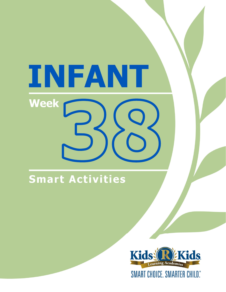# INFANT **Week**

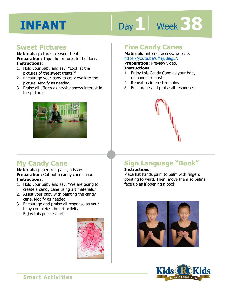# Day 1 **Week 38**

# **Sweet Pictures**

**Materials:** pictures of sweet treats **Preparation:** Tape the pictures to the floor. **Instructions:** 

- 1. Hold your baby and say, "Look at the pictures of the sweet treats?"
- 2. Encourage your baby to crawl/walk to the picture. Modify as needed.
- 3. Praise all efforts as he/she shows interest in the pictures.



# **Five Candy Canes**

**Materials:** internet access, website: https://youtu.be/6MejJBiag5A

**Preparation:** Preview video.

#### **Instructions:**

- **Intps.//youtd.be/ortepblagbA**<br>**Preparation:** Preview video.<br>**Instructions:**<br>1. Enjoy this Candy Cane as your baby responds to music.
- 2. Repeat as interest remains.
- 3. Encourage and praise all responses.



# **My Candy Cane**

**Materials:** paper, red paint, scissors **Preparation:** Cut out a candy cane shape. **Instructions:** 

- 1. Hold your baby and say, "We are going to create a candy cane using art materials."
- 2. Assist your baby with painting the candy cane. Modify as needed.
- 3. Encourage and praise all response as your baby completes the art activity.
- 4. Enjoy this priceless art.



# **Sign Language "Book"**

### **Instructions:**

Place flat hands palm to palm with fingers pointing forward. Then, move them so palms face up as if opening a book.



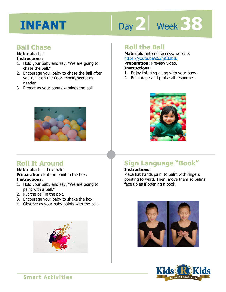# Day 2 **Week** 38

# **Ball Chase**

# **Materials:** ball

## **Instructions:**

- 1. Hold your baby and say, "We are going to chase the ball."
- 2. Encourage your baby to chase the ball after you roll it on the floor. Modify/assist as needed.
- 3. Repeat as your baby examines the ball.



# **Roll It Around**

#### **Materials:** ball, box, paint **Preparation:** Put the paint in the box. **Instructions:**

- 1. Hold your baby and say, "We are going to paint with a ball."
- 2. Put the ball in the box.
- 3. Encourage your baby to shake the box.
- 4. Observe as your baby paints with the ball.



# **Roll the Ball**

**Materials:** internet access, website: https://youtu.be/s5ZhjCJ2bIE

**1 4**  1. Enjoy this sing along with your baby. **Preparation:** Preview video. **Instructions:** 

- 
- 2. Encourage and praise all responses.



# **Sign Language "Book"**

## **Instructions:**

Place flat hands palm to palm with fingers pointing forward. Then, move them so palms face up as if opening a book.



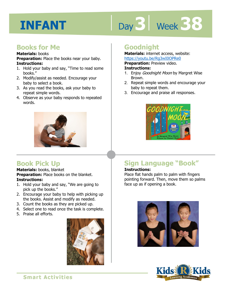# Day 3 | Week 38

# **Books for Me**

#### **Materials:** books

**Preparation:** Place the books near your baby. **Instructions:** 

- 1. Hold your baby and say, "Time to read some books."
- 2. Modify/assist as needed. Encourage your baby to select a book.
- 3. As you read the books, ask your baby to repeat simple words.
- 4. Observe as your baby responds to repeated words.



# **Book Pick Up**

**Materials:** books, blanket **Preparation:** Place books on the blanket. **Instructions:** 

- 1. Hold your baby and say, "We are going to pick up the books."
- 2. Encourage your baby to help with picking up the books. Assist and modify as needed.
- 3. Count the books as they are picked up.
- 4. Select one to read once the task is complete.
- 5. Praise all efforts.



# **Goodnight**

**Materials:** internet access, website: https://youtu.be/Rg3wI0OPRe0

**Preparation:** Preview video.

#### **Instructions:**

- 1. Enjoy Goodnight Moon by Margret Wise Brown.
- 2. Repeat simple words and encourage your baby to repeat them.
- 3. Encourage and praise all responses.



# **Sign Language "Book"**

## **Instructions:**

Place flat hands palm to palm with fingers pointing forward. Then, move them so palms face up as if opening a book.



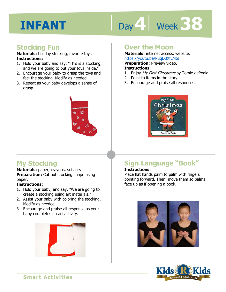# Day 4 Week 38

# **Stocking Fun**

**Materials:** holiday stocking, favorite toys **Instructions:** 

- 1. Hold your baby and say, "This is a stocking, and we are going to put your toys inside."
- 2. Encourage your baby to grasp the toys and feel the stocking. Modify as needed.
- 3. Repeat as your baby develops a sense of grasp.



# **Over the Moon**

**Materials:** internet access, website: https://youtu.be/PuqD8XfLM6I

**Preparation:** Preview video.

#### **Instructions:**

- **IRCDS.//YOUGLI.DE/FUGDOXILMOL**<br>**Preparation:** Preview video.<br>**Instructions:**<br>1. Enjoy *My First Christmas* by Tomie dePoala.
- 2. Point to items in the story.
- 3. Encourage and praise all responses.



# **My Stocking**

**Materials:** paper, crayons, scissors **Preparation:** Cut out stocking shape using

paper.

## **Instructions:**

- 1. Hold your baby, and say, "We are going to create a stocking using art materials."
- 2. Assist your baby with coloring the stocking. Modify as needed.
- 3. Encourage and praise all response as your baby completes an art activity.



# **Sign Language "Book"**

### **Instructions:**

Place flat hands palm to palm with fingers pointing forward. Then, move them so palms face up as if opening a book.